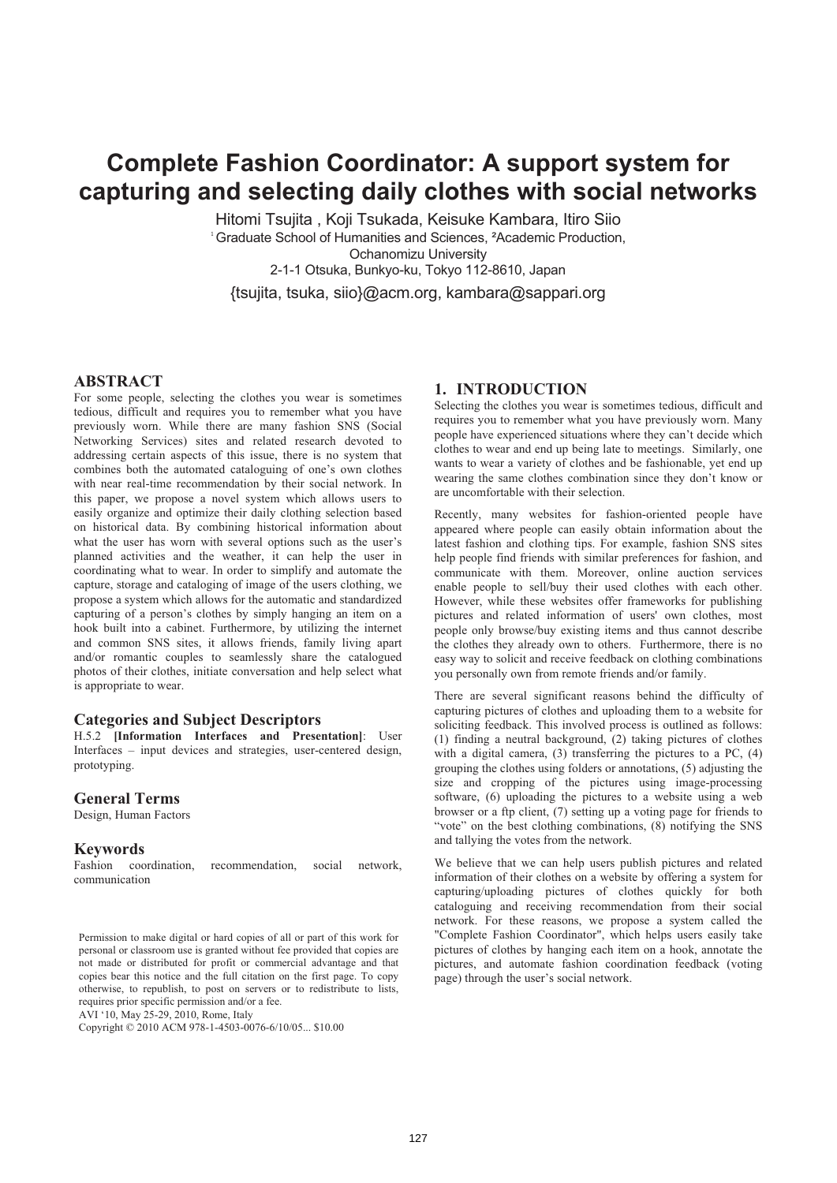# **Complete Fashion Coordinator: A support system for capturing and selecting daily clothes with social networks**

Hitomi Tsujita , Koji Tsukada, Keisuke Kambara, Itiro Siio

<sup>1</sup> Graduate School of Humanities and Sciences, <sup>2</sup>Academic Production,

Ochanomizu University

2-1-1 Otsuka, Bunkyo-ku, Tokyo 112-8610, Japan

{tsujita, tsuka, siio}@acm.org, kambara@sappari.org

# **ABSTRACT**

For some people, selecting the clothes you wear is sometimes tedious, difficult and requires you to remember what you have previously worn. While there are many fashion SNS (Social Networking Services) sites and related research devoted to addressing certain aspects of this issue, there is no system that combines both the automated cataloguing of one's own clothes with near real-time recommendation by their social network. In this paper, we propose a novel system which allows users to easily organize and optimize their daily clothing selection based on historical data. By combining historical information about what the user has worn with several options such as the user's planned activities and the weather, it can help the user in coordinating what to wear. In order to simplify and automate the capture, storage and cataloging of image of the users clothing, we propose a system which allows for the automatic and standardized capturing of a person's clothes by simply hanging an item on a hook built into a cabinet. Furthermore, by utilizing the internet and common SNS sites, it allows friends, family living apart and/or romantic couples to seamlessly share the catalogued photos of their clothes, initiate conversation and help select what is appropriate to wear.

# **Categories and Subject Descriptors**

H.5.2 **[Information Interfaces and Presentation]**: User Interfaces – input devices and strategies, user-centered design, prototyping.

# **General Terms**

Design, Human Factors

# **Keywords**

Fashion coordination, recommendation, social network, communication

AVI '10, May 25-29, 2010, Rome, Italy

Copyright © 2010 ACM 978-1-4503-0076-6/10/05... \$10.00

# **1. INTRODUCTION**

Selecting the clothes you wear is sometimes tedious, difficult and requires you to remember what you have previously worn. Many people have experienced situations where they can't decide which clothes to wear and end up being late to meetings. Similarly, one wants to wear a variety of clothes and be fashionable, yet end up wearing the same clothes combination since they don't know or are uncomfortable with their selection.

Recently, many websites for fashion-oriented people have appeared where people can easily obtain information about the latest fashion and clothing tips. For example, fashion SNS sites help people find friends with similar preferences for fashion, and communicate with them. Moreover, online auction services enable people to sell/buy their used clothes with each other. However, while these websites offer frameworks for publishing pictures and related information of users' own clothes, most people only browse/buy existing items and thus cannot describe the clothes they already own to others. Furthermore, there is no easy way to solicit and receive feedback on clothing combinations you personally own from remote friends and/or family.

There are several significant reasons behind the difficulty of capturing pictures of clothes and uploading them to a website for soliciting feedback. This involved process is outlined as follows: (1) finding a neutral background, (2) taking pictures of clothes with a digital camera, (3) transferring the pictures to a PC, (4) grouping the clothes using folders or annotations, (5) adjusting the size and cropping of the pictures using image-processing software, (6) uploading the pictures to a website using a web browser or a ftp client, (7) setting up a voting page for friends to "vote" on the best clothing combinations, (8) notifying the SNS and tallying the votes from the network.

We believe that we can help users publish pictures and related information of their clothes on a website by offering a system for capturing/uploading pictures of clothes quickly for both cataloguing and receiving recommendation from their social network. For these reasons, we propose a system called the "Complete Fashion Coordinator", which helps users easily take pictures of clothes by hanging each item on a hook, annotate the pictures, and automate fashion coordination feedback (voting page) through the user's social network.

Permission to make digital or hard copies of all or part of this work for personal or classroom use is granted without fee provided that copies are not made or distributed for profit or commercial advantage and that copies bear this notice and the full citation on the first page. To copy otherwise, to republish, to post on servers or to redistribute to lists, requires prior specific permission and/or a fee.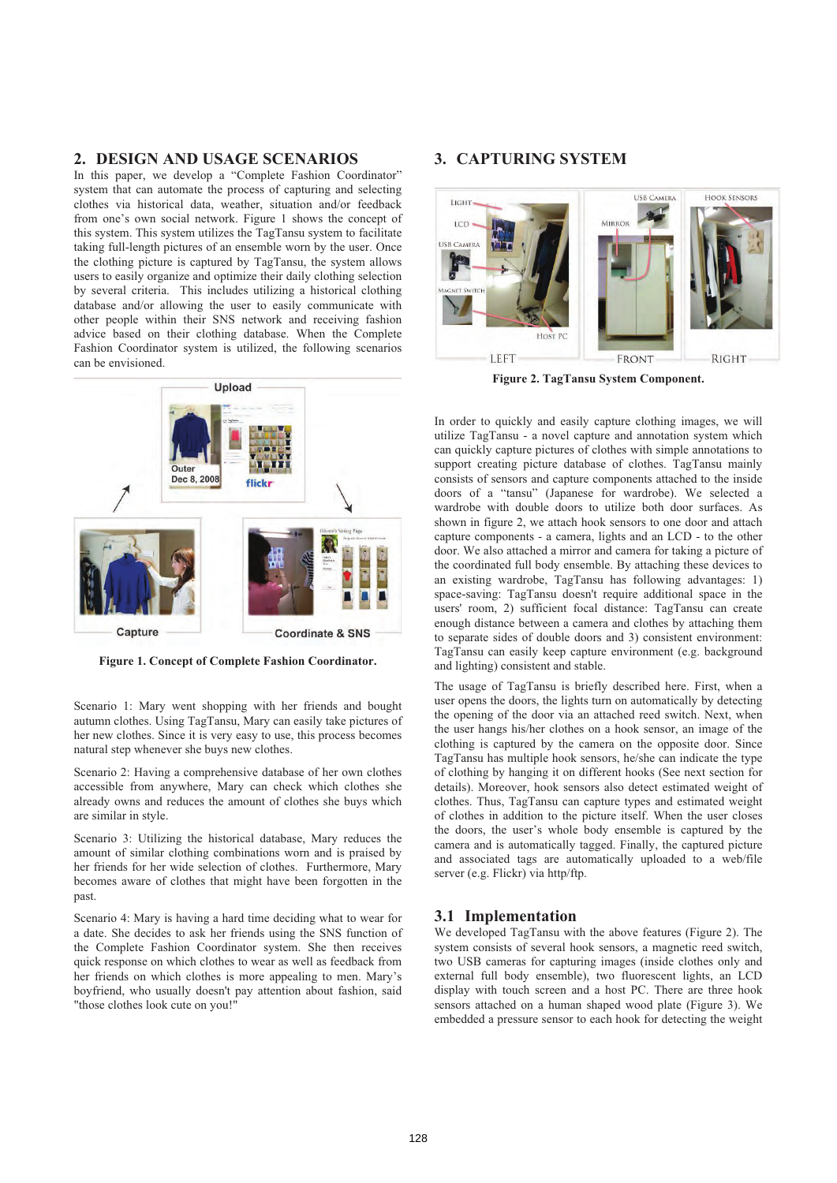#### **2. DESIGN AND USAGE SCENARIOS**

In this paper, we develop a "Complete Fashion Coordinator" system that can automate the process of capturing and selecting clothes via historical data, weather, situation and/or feedback from one's own social network. Figure 1 shows the concept of this system. This system utilizes the TagTansu system to facilitate taking full-length pictures of an ensemble worn by the user. Once the clothing picture is captured by TagTansu, the system allows users to easily organize and optimize their daily clothing selection by several criteria. This includes utilizing a historical clothing database and/or allowing the user to easily communicate with other people within their SNS network and receiving fashion advice based on their clothing database. When the Complete Fashion Coordinator system is utilized, the following scenarios can be envisioned.



**Figure 1. Concept of Complete Fashion Coordinator.** 

Scenario 1: Mary went shopping with her friends and bought autumn clothes. Using TagTansu, Mary can easily take pictures of her new clothes. Since it is very easy to use, this process becomes natural step whenever she buys new clothes.

Scenario 2: Having a comprehensive database of her own clothes accessible from anywhere, Mary can check which clothes she already owns and reduces the amount of clothes she buys which are similar in style.

Scenario 3: Utilizing the historical database, Mary reduces the amount of similar clothing combinations worn and is praised by her friends for her wide selection of clothes. Furthermore, Mary becomes aware of clothes that might have been forgotten in the past.

Scenario 4: Mary is having a hard time deciding what to wear for a date. She decides to ask her friends using the SNS function of the Complete Fashion Coordinator system. She then receives quick response on which clothes to wear as well as feedback from her friends on which clothes is more appealing to men. Mary's boyfriend, who usually doesn't pay attention about fashion, said "those clothes look cute on you!"

## **3. CAPTURING SYSTEM**



**Figure 2. TagTansu System Component.** 

In order to quickly and easily capture clothing images, we will utilize TagTansu - a novel capture and annotation system which can quickly capture pictures of clothes with simple annotations to support creating picture database of clothes. TagTansu mainly consists of sensors and capture components attached to the inside doors of a "tansu" (Japanese for wardrobe). We selected a wardrobe with double doors to utilize both door surfaces. As shown in figure 2, we attach hook sensors to one door and attach capture components - a camera, lights and an LCD - to the other door. We also attached a mirror and camera for taking a picture of the coordinated full body ensemble. By attaching these devices to an existing wardrobe, TagTansu has following advantages: 1) space-saving: TagTansu doesn't require additional space in the users' room, 2) sufficient focal distance: TagTansu can create enough distance between a camera and clothes by attaching them to separate sides of double doors and 3) consistent environment: TagTansu can easily keep capture environment (e.g. background and lighting) consistent and stable.

The usage of TagTansu is briefly described here. First, when a user opens the doors, the lights turn on automatically by detecting the opening of the door via an attached reed switch. Next, when the user hangs his/her clothes on a hook sensor, an image of the clothing is captured by the camera on the opposite door. Since TagTansu has multiple hook sensors, he/she can indicate the type of clothing by hanging it on different hooks (See next section for details). Moreover, hook sensors also detect estimated weight of clothes. Thus, TagTansu can capture types and estimated weight of clothes in addition to the picture itself. When the user closes the doors, the user's whole body ensemble is captured by the camera and is automatically tagged. Finally, the captured picture and associated tags are automatically uploaded to a web/file server (e.g. Flickr) via http/ftp.

#### **3.1 Implementation**

We developed TagTansu with the above features (Figure 2). The system consists of several hook sensors, a magnetic reed switch, two USB cameras for capturing images (inside clothes only and external full body ensemble), two fluorescent lights, an LCD display with touch screen and a host PC. There are three hook sensors attached on a human shaped wood plate (Figure 3). We embedded a pressure sensor to each hook for detecting the weight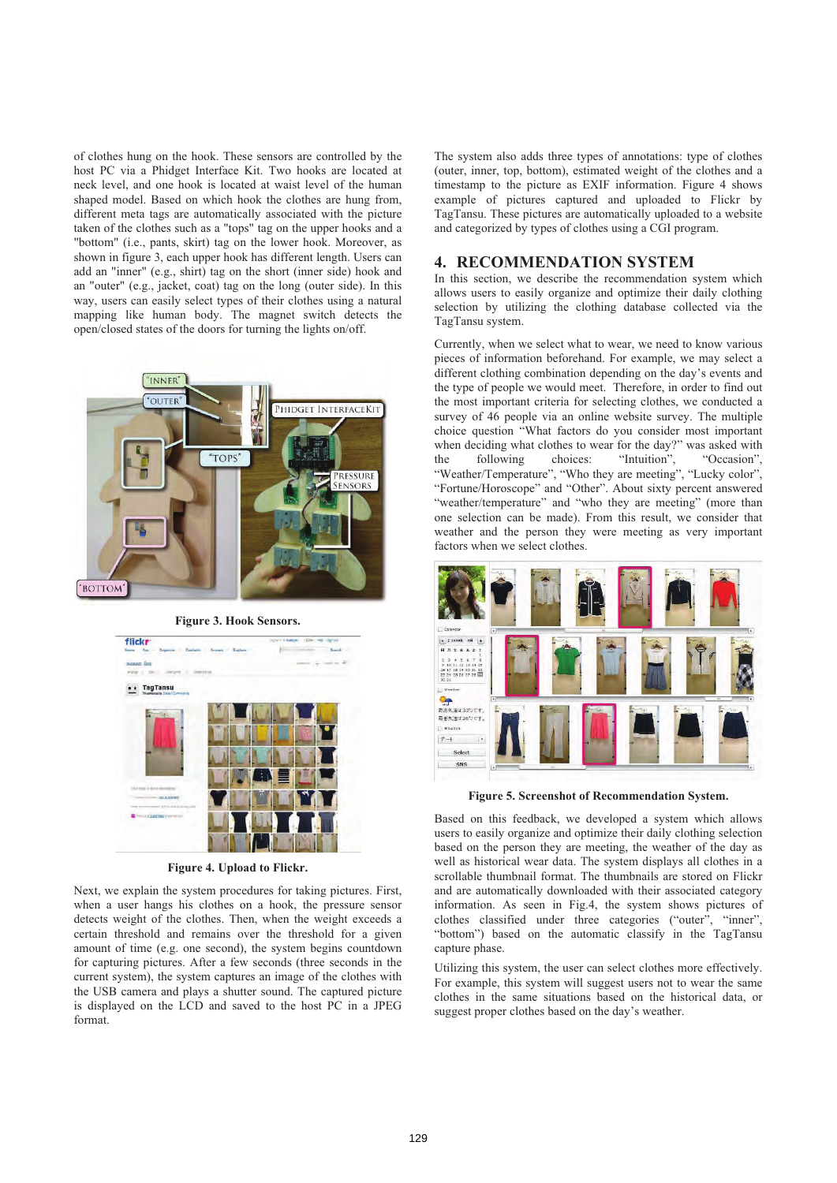of clothes hung on the hook. These sensors are controlled by the host PC via a Phidget Interface Kit. Two hooks are located at neck level, and one hook is located at waist level of the human shaped model. Based on which hook the clothes are hung from, different meta tags are automatically associated with the picture taken of the clothes such as a "tops" tag on the upper hooks and a "bottom" (i.e., pants, skirt) tag on the lower hook. Moreover, as shown in figure 3, each upper hook has different length. Users can add an "inner" (e.g., shirt) tag on the short (inner side) hook and an "outer" (e.g., jacket, coat) tag on the long (outer side). In this way, users can easily select types of their clothes using a natural mapping like human body. The magnet switch detects the open/closed states of the doors for turning the lights on/off.



**Figure 3. Hook Sensors.**



**Figure 4. Upload to Flickr.** 

Next, we explain the system procedures for taking pictures. First, when a user hangs his clothes on a hook, the pressure sensor detects weight of the clothes. Then, when the weight exceeds a certain threshold and remains over the threshold for a given amount of time (e.g. one second), the system begins countdown for capturing pictures. After a few seconds (three seconds in the current system), the system captures an image of the clothes with the USB camera and plays a shutter sound. The captured picture is displayed on the LCD and saved to the host PC in a JPEG format.

The system also adds three types of annotations: type of clothes (outer, inner, top, bottom), estimated weight of the clothes and a timestamp to the picture as EXIF information. Figure 4 shows example of pictures captured and uploaded to Flickr by TagTansu. These pictures are automatically uploaded to a website and categorized by types of clothes using a CGI program.

#### **4. RECOMMENDATION SYSTEM**

In this section, we describe the recommendation system which allows users to easily organize and optimize their daily clothing selection by utilizing the clothing database collected via the TagTansu system.

Currently, when we select what to wear, we need to know various pieces of information beforehand. For example, we may select a different clothing combination depending on the day's events and the type of people we would meet. Therefore, in order to find out the most important criteria for selecting clothes, we conducted a survey of 46 people via an online website survey. The multiple choice question "What factors do you consider most important when deciding what clothes to wear for the day?" was asked with<br>the following choices: "Intuition", "Occasion", the following choices: "Intuition", "Weather/Temperature", "Who they are meeting", "Lucky color", "Fortune/Horoscope" and "Other". About sixty percent answered "weather/temperature" and "who they are meeting" (more than one selection can be made). From this result, we consider that weather and the person they were meeting as very important factors when we select clothes.



**Figure 5. Screenshot of Recommendation System.** 

Based on this feedback, we developed a system which allows users to easily organize and optimize their daily clothing selection based on the person they are meeting, the weather of the day as well as historical wear data. The system displays all clothes in a scrollable thumbnail format. The thumbnails are stored on Flickr and are automatically downloaded with their associated category information. As seen in Fig.4, the system shows pictures of clothes classified under three categories ("outer", "inner", "bottom") based on the automatic classify in the TagTansu capture phase.

Utilizing this system, the user can select clothes more effectively. For example, this system will suggest users not to wear the same clothes in the same situations based on the historical data, or suggest proper clothes based on the day's weather.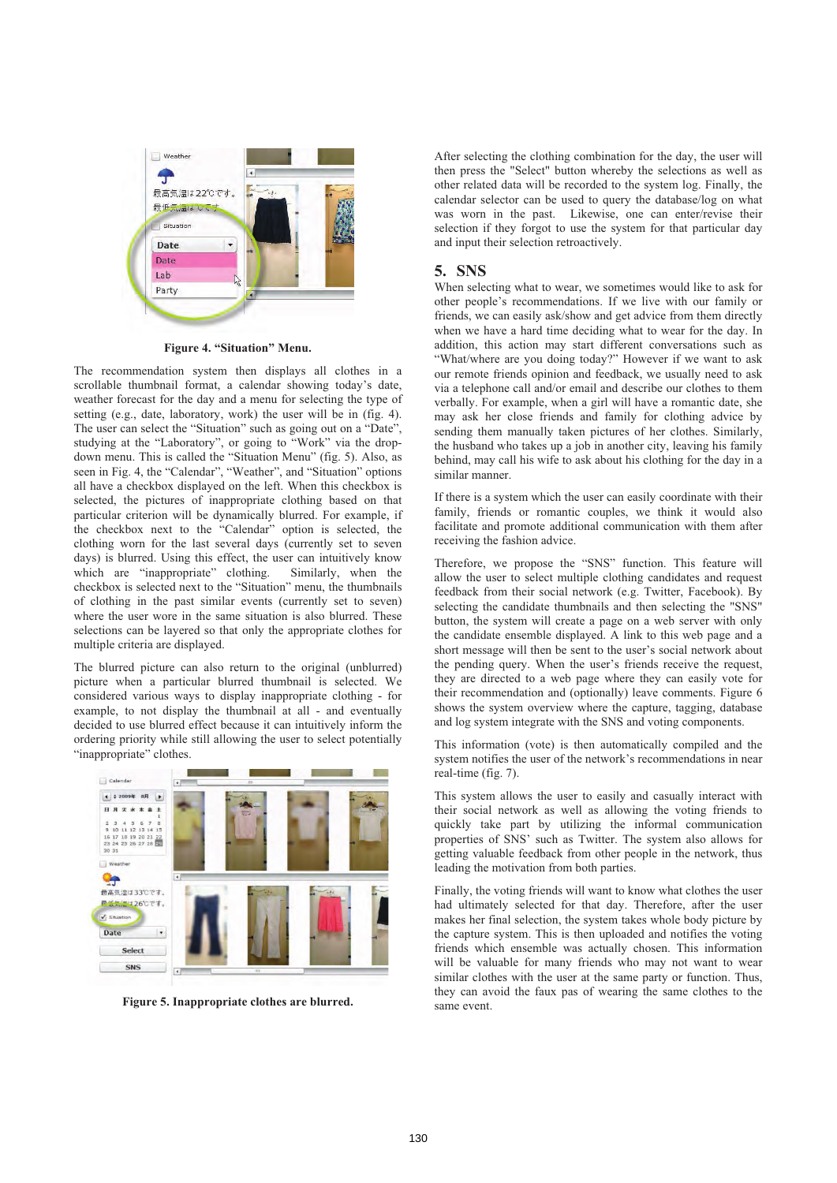

**Figure 4. "Situation" Menu.** 

The recommendation system then displays all clothes in a scrollable thumbnail format, a calendar showing today's date, weather forecast for the day and a menu for selecting the type of setting (e.g., date, laboratory, work) the user will be in (fig. 4). The user can select the "Situation" such as going out on a "Date", studying at the "Laboratory", or going to "Work" via the dropdown menu. This is called the "Situation Menu" (fig. 5). Also, as seen in Fig. 4, the "Calendar", "Weather", and "Situation" options all have a checkbox displayed on the left. When this checkbox is selected, the pictures of inappropriate clothing based on that particular criterion will be dynamically blurred. For example, if the checkbox next to the "Calendar" option is selected, the clothing worn for the last several days (currently set to seven days) is blurred. Using this effect, the user can intuitively know which are "inappropriate" clothing. Similarly, when the checkbox is selected next to the "Situation" menu, the thumbnails of clothing in the past similar events (currently set to seven) where the user wore in the same situation is also blurred. These selections can be layered so that only the appropriate clothes for multiple criteria are displayed.

The blurred picture can also return to the original (unblurred) picture when a particular blurred thumbnail is selected. We considered various ways to display inappropriate clothing - for example, to not display the thumbnail at all - and eventually decided to use blurred effect because it can intuitively inform the ordering priority while still allowing the user to select potentially "inappropriate" clothes.



**Figure 5. Inappropriate clothes are blurred.** 

After selecting the clothing combination for the day, the user will then press the "Select" button whereby the selections as well as other related data will be recorded to the system log. Finally, the calendar selector can be used to query the database/log on what was worn in the past. Likewise, one can enter/revise their selection if they forgot to use the system for that particular day and input their selection retroactively.

#### **5. SNS**

When selecting what to wear, we sometimes would like to ask for other people's recommendations. If we live with our family or friends, we can easily ask/show and get advice from them directly when we have a hard time deciding what to wear for the day. In addition, this action may start different conversations such as "What/where are you doing today?" However if we want to ask our remote friends opinion and feedback, we usually need to ask via a telephone call and/or email and describe our clothes to them verbally. For example, when a girl will have a romantic date, she may ask her close friends and family for clothing advice by sending them manually taken pictures of her clothes. Similarly, the husband who takes up a job in another city, leaving his family behind, may call his wife to ask about his clothing for the day in a similar manner.

If there is a system which the user can easily coordinate with their family, friends or romantic couples, we think it would also facilitate and promote additional communication with them after receiving the fashion advice.

Therefore, we propose the "SNS" function. This feature will allow the user to select multiple clothing candidates and request feedback from their social network (e.g. Twitter, Facebook). By selecting the candidate thumbnails and then selecting the "SNS" button, the system will create a page on a web server with only the candidate ensemble displayed. A link to this web page and a short message will then be sent to the user's social network about the pending query. When the user's friends receive the request, they are directed to a web page where they can easily vote for their recommendation and (optionally) leave comments. Figure 6 shows the system overview where the capture, tagging, database and log system integrate with the SNS and voting components.

This information (vote) is then automatically compiled and the system notifies the user of the network's recommendations in near real-time (fig. 7).

This system allows the user to easily and casually interact with their social network as well as allowing the voting friends to quickly take part by utilizing the informal communication properties of SNS' such as Twitter. The system also allows for getting valuable feedback from other people in the network, thus leading the motivation from both parties.

Finally, the voting friends will want to know what clothes the user had ultimately selected for that day. Therefore, after the user makes her final selection, the system takes whole body picture by the capture system. This is then uploaded and notifies the voting friends which ensemble was actually chosen. This information will be valuable for many friends who may not want to wear similar clothes with the user at the same party or function. Thus, they can avoid the faux pas of wearing the same clothes to the same event.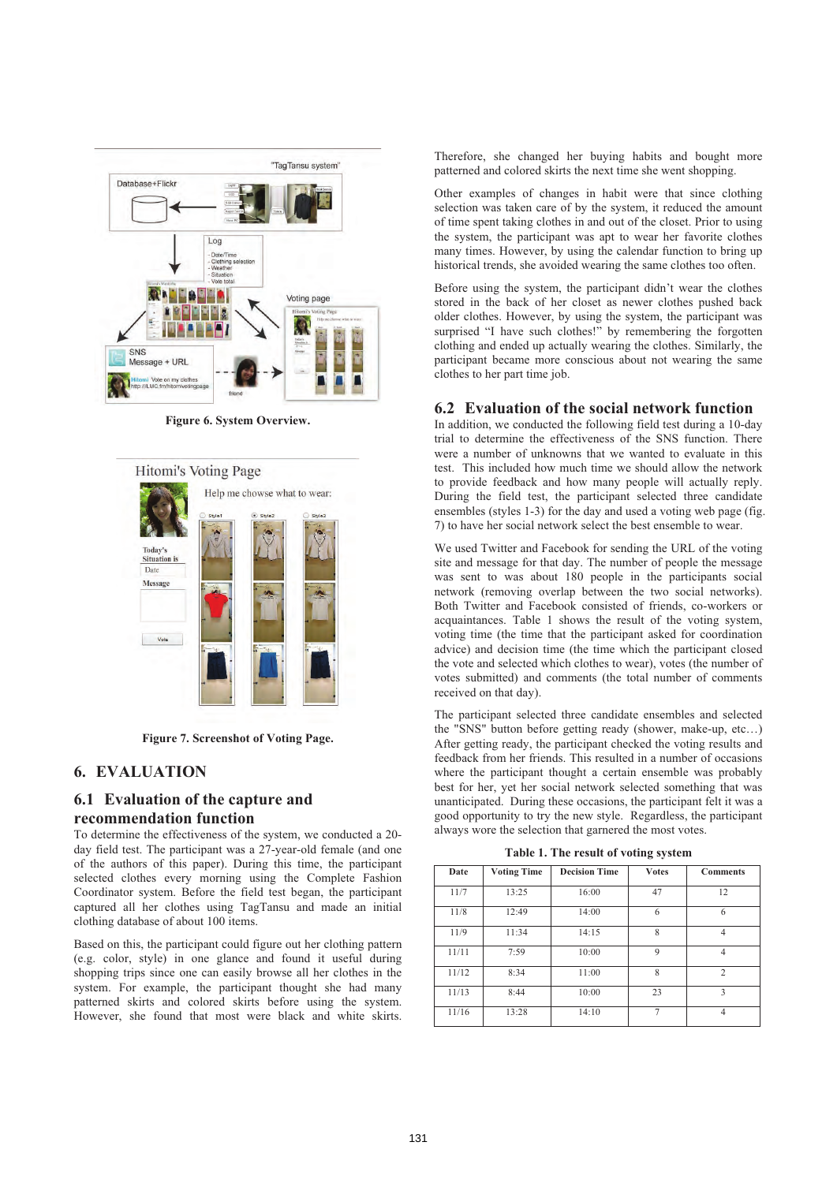

**Figure 6. System Overview.**



**Figure 7. Screenshot of Voting Page.**

# **6. EVALUATION**

# **6.1 Evaluation of the capture and recommendation function**

To determine the effectiveness of the system, we conducted a 20 day field test. The participant was a 27-year-old female (and one of the authors of this paper). During this time, the participant selected clothes every morning using the Complete Fashion Coordinator system. Before the field test began, the participant captured all her clothes using TagTansu and made an initial clothing database of about 100 items.

Based on this, the participant could figure out her clothing pattern (e.g. color, style) in one glance and found it useful during shopping trips since one can easily browse all her clothes in the system. For example, the participant thought she had many patterned skirts and colored skirts before using the system. However, she found that most were black and white skirts.

Therefore, she changed her buying habits and bought more patterned and colored skirts the next time she went shopping.

Other examples of changes in habit were that since clothing selection was taken care of by the system, it reduced the amount of time spent taking clothes in and out of the closet. Prior to using the system, the participant was apt to wear her favorite clothes many times. However, by using the calendar function to bring up historical trends, she avoided wearing the same clothes too often.

Before using the system, the participant didn't wear the clothes stored in the back of her closet as newer clothes pushed back older clothes. However, by using the system, the participant was surprised "I have such clothes!" by remembering the forgotten clothing and ended up actually wearing the clothes. Similarly, the participant became more conscious about not wearing the same clothes to her part time job.

#### **6.2 Evaluation of the social network function**

In addition, we conducted the following field test during a 10-day trial to determine the effectiveness of the SNS function. There were a number of unknowns that we wanted to evaluate in this test. This included how much time we should allow the network to provide feedback and how many people will actually reply. During the field test, the participant selected three candidate ensembles (styles 1-3) for the day and used a voting web page (fig. 7) to have her social network select the best ensemble to wear.

We used Twitter and Facebook for sending the URL of the voting site and message for that day. The number of people the message was sent to was about 180 people in the participants social network (removing overlap between the two social networks). Both Twitter and Facebook consisted of friends, co-workers or acquaintances. Table 1 shows the result of the voting system, voting time (the time that the participant asked for coordination advice) and decision time (the time which the participant closed the vote and selected which clothes to wear), votes (the number of votes submitted) and comments (the total number of comments received on that day).

The participant selected three candidate ensembles and selected the "SNS" button before getting ready (shower, make-up, etc…) After getting ready, the participant checked the voting results and feedback from her friends. This resulted in a number of occasions where the participant thought a certain ensemble was probably best for her, yet her social network selected something that was unanticipated. During these occasions, the participant felt it was a good opportunity to try the new style. Regardless, the participant always wore the selection that garnered the most votes.

**Table 1. The result of voting system** 

| Date  | <b>Voting Time</b> | <b>Decision Time</b> | <b>Votes</b> | <b>Comments</b> |
|-------|--------------------|----------------------|--------------|-----------------|
| 11/7  | 13:25              | 16:00                | 47           | 12              |
| 11/8  | 12:49              | 14:00                | 6            | 6               |
| 11/9  | 11:34              | 14:15                | $\mathbf{8}$ | $\overline{4}$  |
| 11/11 | 7:59               | 10:00                | $\mathbf Q$  | $\overline{4}$  |
| 11/12 | 8:34               | 11:00                | 8            | $\overline{c}$  |
| 11/13 | 8:44               | 10:00                | 23           | 3               |
| 11/16 | 13:28              | 14:10                | 7            | $\overline{4}$  |